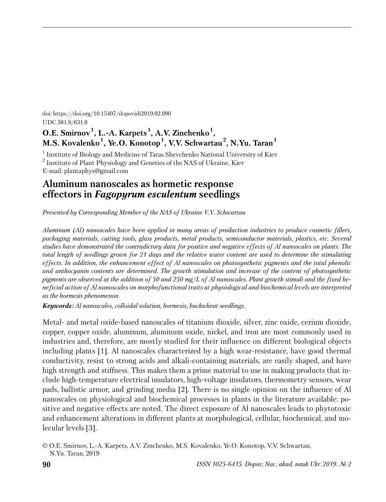doi: https://doi.org/10.15407/dopovidi2019.02.090 UDC 581.8/631.8

# **O.E. Smirnov<sup>1</sup> , L.-A. Karpets <sup>1</sup> , A.V. Zinchenko<sup>1</sup> , M.S. Kovalenko<sup>1</sup> , Ye.O. Konotop<sup>1</sup> , V.V. Schwartau<sup>2</sup> , N.Yu. Taran<sup>1</sup>**

<sup>1</sup> Institute of Biology and Medicine of Taras Shevchenko National University of Kiev  $^2$  Institute of Plant Physiology and Genetics of the NAS of Ukraine, Kiev E-mail: plantaphys@gmail.com

## **Aluminum nanoscales as hormetic response effectors in** *Fagopyrum esculentum* **seedlings**

*Presented by Corresponding Member of the NAS of Ukraine V.V. Sсhwartau* 

*Aluminum (Al) nanoscales have been applied in many areas of production industries to produce cosmetic fillers, packaging materials, cutting tools, glass products, metal products, semiconductor materials, plastics, etc. Several studies have demonstrated the contradictory data for positive and negative effects of Al nanoscales on plants. The total length of seedlings grown for 21 days and the relative water content are used to determine the stimulating effects. In addition, the enhancement effect of Al nanoscales on photosynthetic pigments and the total phenolic and anthocyanin contents are determined. The growth stimulation and increase of the content of photosynthetic pigments are observed at the addition of 50 and 250 mg*/*L of Al nanoscales. Plant growth stimuli and the fixed bene ficial action of Al nanoscales on morphofunctional traits at physiological and biochemical levels are interpreted as the hormesis phenomenon.*

*Keywords: Al nanoscales, colloidal solution, hormesis, buckwheat seedlings.*

Metal- and metal oxide-based nanoscales of titanium dioxide, silver, zinc oxide, cerium dioxide, copper, copper oxide, aluminum, aluminum oxide, nickel, and iron are most commonly used in industries and, therefore, are mostly studied for their influence on different biological objects including plants [1]. Al nanoscales characterized by a high wear-resistance, have good thermal conductivity, resist to strong acids and alkali-containing materials, are easily shaped, and have high strength and stiffness. This makes them a prime material to use in making products that include high-temperature electrical insulators, high-voltage insulators, thermometry sensors, wear pads, ballistic armor, and grinding media [2]. There is no single opinion on the influence of Al nanoscales on physiological and biochemical processes in plants in the literature available: positive and negative effects are noted. The direct exposure of Al nanoscales leads to phytotoxic and enhancement alterations in different plants at morphological, cellular, biochemical, and molecular levels [3].

<sup>©</sup> O.E. Smirnov, L.-A. Karpets, A.V. Zinchenko, M.S. Kovalenko, Ye.O. Konotop, V.V. Schwartau, N.Yu. Taran, 2019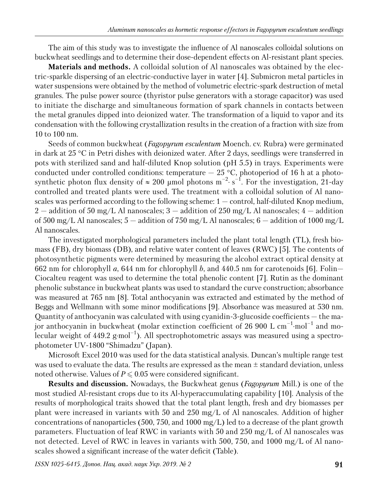The aim of this study was to investigate the influence of Al nanoscales colloidal solutions on buckwheat seedlings and to determine their dose-dependent effects on Al-resistant plant species.

**Materials and methods.** A colloidal solution of Al nanoscales was obtained by the electric-sparkle dispersing of an electric-conductive layer in water [4]. Submicron metal particles in water suspensions were obtained by the method of volumetric electric-spark destruction of metal granules. The pulse power source (thyristor pulse generators with a storage capacitor) was used to initiate the discharge and simultaneous formation of spark channels in contacts between the metal granules dipped into deionized water. The transformation of a liquid to vapor and its condensation with the following crystallization results in the creation of a fraction with size from 10 to 100 nm.

Seeds of common buckwheat (*Fagopyrum esculentum* Moench. cv. Rubra) were germinated in dark at 25 °C in Petri dishes with deionized water. After 2 days, seedlings were transferred in pots with sterilized sand and half-diluted Knop solution (pH 5.5) in trays. Experiments were conducted under controlled conditions: temperature  $-25$  °C, photoperiod of 16 h at a photosynthetic photon flux density of  $\approx 200$  µmol photons m<sup>-2</sup>·s<sup>-1</sup>. For the investigation, 21-day controlled and treated plants were used. The treatment with a colloidal solution of Al nanoscales was performed according to the following scheme: 1 — control, half-diluted Knop medium, 2 — addition of 50 mg/L Al nanoscales; 3 — addition of 250 mg/L Al nanoscales; 4 — addition of 500 mg/L Al nanoscales;  $5 -$  addition of 750 mg/L Al nanoscales;  $6 -$  addition of 1000 mg/L Al nanoscales.

The investigated morphological parameters included the plant total length (TL), fresh biomass (FB), dry biomass (DB), and relative water content of leaves (RWC) [5]. The contents of photosynthetic pigments were determined by measuring the alcohol extract optical density at 662 nm for chlorophyll *a*, 644 nm for chlorophyll *b*, and 440.5 nm for carotenoids [6]. Folin— Ciocalteu reagent was used to determine the total phenolic content [7]. Rutin as the dominant phenolic substance in buckwheat plants was used to standard the curve construction; absorbance was measured at 765 nm [8]. Total anthocyanin was extracted and estimated by the method of Beggs and Wellmann with some minor modifications [9]. Absorbance was measured at 530 nm. Quantity of anthocyanin was calculated with using cyanidin-3-glucoside coefficients — the major anthocyanin in buckwheat (molar extinction coefficient of 26 900 L  $cm^{-1}$ ·mol<sup>-1</sup> and molecular weight of 449.2  $g \cdot mol^{-1}$ ). All spectrophotometric assays was measured using a spectrophotometer UV-1800 "Shimadzu" (Japan).

Microsoft Excel 2010 was used for the data statistical analysis. Duncan's multiple range test was used to evaluate the data. The results are expressed as the mean  $\pm$  standard deviation, unless noted otherwise. Values of  $P \leq 0.05$  were considered significant.

**Results and discussion.** Nowadays, the Buckwheat genus (*Fagopyrum* Mill.) is one of the most studied Al-resistant crops due to its Al-hyperaccumulating capability [10]. Analysis of the results of morphological traits showed that the total plant length, fresh and dry biomasses per plant were increased in variants with 50 and 250 mg/L of Al nanoscales. Addition of higher concentrations of nanoparticles (500, 750, and 1000 mg/L) led to a decrease of the plant growth parameters. Fluctuation of leaf RWC in variants with 50 and 250 mg/L of Al nanoscales was not detected. Level of RWC in leaves in variants with 500, 750, and 1000 mg/L of Al nanoscales showed a significant increase of the water deficit (Table).

*ISSN 1025-6415. Допов. Нац. акад. наук Укр. 2019. № 2* **91**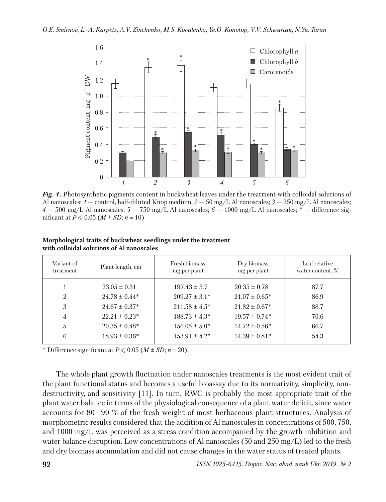

*Fig. 1.* Photosynthetic pigments content in buckwheat leaves under the treatment with colloidal solutions of Al nanoscales: *1* — control, half-diluted Knop medium, *2* — 50 mg/L Al nanoscales; *3* — 250 mg/L Al nanoscales; *4* — 500 mg/L Al nanoscales; *5* — 750 mg/L Al nanoscales; *6* — 1000 mg/L Al nanoscales; \* — difference significant at  $P \le 0.05$  ( $M \pm SD$ ;  $n = 10$ )

| Variant of<br>treatment | Plant length, cm   | Fresh biomass,<br>mg per plant | Dry biomass,<br>mg per plant | Leaf relative<br>water content, % |
|-------------------------|--------------------|--------------------------------|------------------------------|-----------------------------------|
|                         | $23.05 \pm 0.31$   | $197.43 \pm 3.7$               | $20.35 \pm 0.78$             | 87.7                              |
| $\mathfrak{D}$          | $24.78 \pm 0.44*$  | $209.27 \pm 3.1*$              | $21.07 \pm 0.65^*$           | 86.9                              |
| 3                       | $24.67 \pm 0.37^*$ | $211.58 \pm 4.5^*$             | $21.82 \pm 0.67^*$           | 88.7                              |
| 4                       | $22.21 \pm 0.23^*$ | $188.73 \pm 4.3^*$             | $19.57 \pm 0.74*$            | 70.6                              |
| 5                       | $20.35 \pm 0.48^*$ | $156.05 \pm 5.0^*$             | $14.72 \pm 0.56^*$           | 66.7                              |
| 6                       | $18.93 \pm 0.36^*$ | $153.91 \pm 4.2^*$             | $14.39 \pm 0.81*$            | 54.3                              |

**Morphological traits of buckwheat seedlings under the treatment with colloidal solutions of Al nanoscales**

\* Difference significant at  $P \leq 0.05$  ( $M \pm SD$ ;  $n = 20$ ).

The whole plant growth fluctuation under nanoscales treatments is the most evident trait of the plant functional status and becomes a useful bioassay due to its normativity, simplicity, nondestructivity, and sensitivity [11]. In turn, RWC is probably the most appropriate trait of the plant water balance in terms of the physiological consequence of a plant water deficit, since water accounts for 80—90 % of the fresh weight of most herbaceous plant structures. Analysis of morphometric results considered that the addition of Al nanoscales in concentrations of 500, 750, and 1000 mg/L was perceived as a stress condition accompanied by the growth inhibition and water balance disruption. Low concentrations of Al nanoscales (50 and 250 mg/L) led to the fresh and dry biomass accumulation and did not cause changes in the water status of treated plants.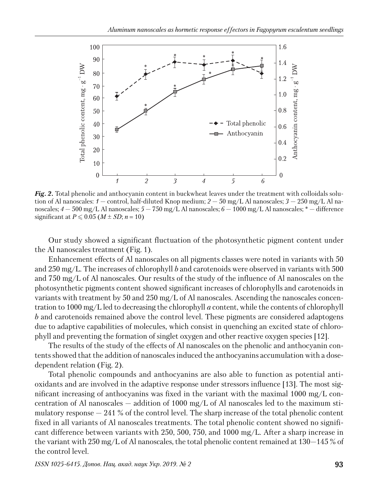

*Fig. 2.* Total phenolic and anthocyanin content in buckwheat leaves under the treatment with colloidals solution of Al nanoscales: *1* — control, half-diluted Knop medium; *2* — 50 mg/L Al nanoscales; *3* — 250 mg/L Al nanoscales; *4* — 500 mg/L Al nanoscales; *5* — 750 mg/L Al nanoscales; *6* — 1000 mg/L Al nanoscales; \* — difference significant at  $P \le 0.05$  ( $M \pm SD$ ;  $n = 10$ )

Our study showed a significant fluctuation of the photosynthetic pigment content under the Al nanoscales treatment (Fig. 1).

Enhancement effects of Al nanoscales on all pigments classes were noted in variants with 50 and 250 mg/L. The increases of chlorophyll *b* and carotenoids were observed in variants with 500 and 750 mg/L of Al nanoscales. Our results of the study of the influence of Al nanoscales on the photosynthetic pigments content showed significant increases of chlorophylls and carotenoids in variants with treatment by 50 and 250 mg/L of Al nanoscales. Ascending the nanoscales concentration to 1000 mg/L led to decreasing the chlorophyll *a* content, while the contents of chlorophyll *b* and carotenoids remained above the control level. These pigments are considered adaptogens due to adaptive capabilities of molecules, which consist in quenching an excited state of chlorophyll and preventing the formation of singlet oxygen and other reactive oxygen species [12].

The results of the study of the effects of Al nanoscales on the phenolic and anthocyanin contents showed that the addition of nanoscales induced the anthocyanins accumulation with a dosedependent relation (Fig. 2).

Total phenolic compounds and anthocyanins are also able to function as potential antioxidants and are involved in the adaptive response under stressors influence [13]. The most significant increasing of anthocyanins was fixed in the variant with the maximal 1000 mg/L concentration of Al nanoscales – addition of 1000 mg/L of Al nanoscales led to the maximum stimulatory response  $-241$  % of the control level. The sharp increase of the total phenolic content fixed in all variants of Al nanoscales treatments. The total phenolic content showed no significant difference between variants with 250, 500, 750, and 1000 mg/L. After a sharp increase in the variant with 250 mg/L of Al nanoscales, the total phenolic content remained at  $130-145\%$  of the control level.

*ISSN 1025-6415. Допов. Нац. акад. наук Укр. 2019. № 2* **93**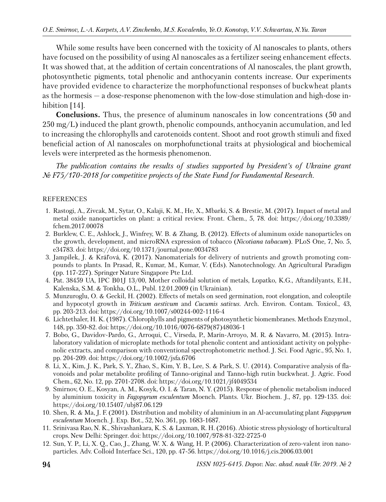While some results have been concerned with the toxicity of Al nanoscales to plants, others have focused on the possibility of using Al nanoscales as a fertilizer seeing enhancement effects. It was showed that, at the addition of certain concentrations of Al nanoscales, the plant growth, photosynthetic pigments, total phenolic and anthocyanin contents increase. Our experiments have provided evidence to characterize the morphofunctional responses of buckwheat plants as the hormesis — a dose-response phenomenon with the low-dose stimulation and high-dose inhibition [14].

**Conclusions.** Thus, the presence of aluminum nanoscales in low concentrations (50 and  $250 \,\mathrm{mg/L}$ ) induced the plant growth, phenolic compounds, anthocyanin accumulation, and led to increasing the chlorophylls and carotenoids content. Shoot and root growth stimuli and fixed beneficial action of Al nanoscales on morphofunctional traits at physiological and biochemical levels were interpreted as the hormesis phenomenon.

*The publication contains the results of studies supported by President's of Ukraine grant № F75/170-2018 for competitive projects of the State Fund for Fundamental Research.*

### REFERENCES

- 1. Rastogi, A., Zivcak, M., Sytar, O., Kalaji, K. M., He, X., Mbarki, S. & Brestic, M. (2017). Impact of metal and metal oxide nanoparticles on plant: a critical review. Front. Chem., 5, 78. doi: https://doi.org/10.3389/ fchem.2017.00078
- 2. Burklew, C. E., Ashlock, J., Winfrey, W. B. & Zhang, B. (2012). Effects of aluminum oxide nanoparticles on the growth, development, and microRNA expression of tobacco (*Nicotiana tabacum*). PLoS One, 7, No. 5, e34783. doi: https://doi.org/10.1371/journal.pone.0034783
- 3. Jampílek, J. & Kráľová, K. (2017). Nanomaterials for delivery of nutrients and growth promoting compounds to plants. In Prasad, R., Kumar, M., Kumar, V. (Eds). Nanotechnology. An Agricultural Paradigm (pp. 117-227). Springer Nature Singapore Pte Ltd.
- 4. Pat. 38459 UA, IPC B01J 13/00, Mother colloidal solution of metals, Lopatko, K.G., Aftandilyants, E.H., Kalenska, S.M. & Tonkha, O.L., Publ. 12.01.2009 (in Ukrainian).
- 5. Munzuroglu, O. & Geckil, H. (2002). Effects of metals on seed germination, root elongation, and coleoptile and hypocotyl growth in *Triticum aestivum* and *Cucumis sativus*. Arch. Environ. Contam. Toxicol., 43, pp. 203-213. doi: https://doi.org/10.1007/s00244-002-1116-4
- 6. Lichtethaler, H. K. (1987). Chlorophylls and pigments of photosynthetic biomembranes. Methods Enzymol., 148, pp. 350-82. doi: https://doi.org/10.1016/0076-6879(87)48036-1
- 7. Bobo, G., Davidov-Pardo, G., Arroqui, C., Vírseda, P., Marín-Arroyo, M. R. & Navarro, M. (2015). Intralaboratory validation of microplate methods for total phenolic content and antioxidant activity on polyphenolic extracts, and comparison with conventional spectrophotometric method. J. Sci. Food Agric., 95, No. 1, pp. 204-209. doi: https://doi.org/10.1002/jsfa.6706
- 8. Li, X., Kim, J. K., Park, S. Y., Zhao, S., Kim, Y. B., Lee, S. & Park, S. U. (2014). Comparative analysis of flavonoids and polar metabolite profiling of Tanno-original and Tanno-high rutin buckwheat. J. Agric. Food Chem., 62, No. 12, pp. 2701-2708. doi: https://doi.org/10.1021/jf4049534
- 9. Smirnov, O. E., Kosyan, A. M., Kosyk, O. I. & Taran, N. Y. (2015). Response of phenolic metabolism induced by aluminium toxicity in *Fagopyrum esculentum* Moench. Plants. Ukr. Biochem. J., 87, pp. 129-135. doi: https://doi.org/10.15407/ubj87.06.129
- 10. Shen, R. & Ma, J. F. (2001). Distribution and mobility of aluminium in an Al-accumulating plant *Fagopyrum esculentum* Moench. J. Exp. Bot., 52, No. 361, pp. 1683-1687.
- 11. Srinivasa Rao, N. K., Shivashankara, K. S. & Laxman, R. H. (2016). Abiotic stress physiology of horticultural crops. New Delhi: Springer. doi: https://doi.org/10.1007/978-81-322-2725-0
- 12. Sun, Y. P., Li, X. Q., Cao, J., Zhang, W. X. & Wang, H. P. (2006). Characterization of zero-valent iron nanoparticles. Adv. Colloid Interface Sci., 120, pp. 47-56. https://doi.org/10.1016/j.cis.2006.03.001